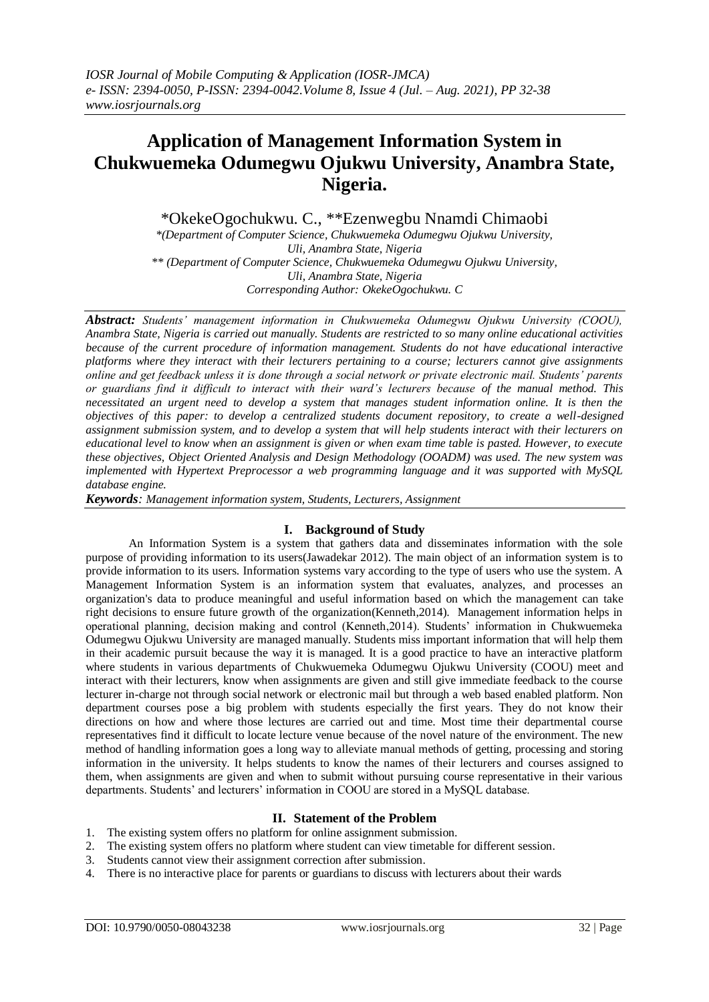# **Application of Management Information System in Chukwuemeka Odumegwu Ojukwu University, Anambra State, Nigeria.**

\*OkekeOgochukwu. C., \*\*Ezenwegbu Nnamdi Chimaobi

*\*(Department of Computer Science, Chukwuemeka Odumegwu Ojukwu University, Uli, Anambra State, Nigeria \*\* (Department of Computer Science, Chukwuemeka Odumegwu Ojukwu University, Uli, Anambra State, Nigeria Corresponding Author: OkekeOgochukwu. C*

*Abstract: Students' management information in Chukwuemeka Odumegwu Ojukwu University (COOU), Anambra State, Nigeria is carried out manually. Students are restricted to so many online educational activities because of the current procedure of information management. Students do not have educational interactive platforms where they interact with their lecturers pertaining to a course; lecturers cannot give assignments online and get feedback unless it is done through a social network or private electronic mail. Students' parents or guardians find it difficult to interact with their ward's lecturers because of the manual method. This necessitated an urgent need to develop a system that manages student information online. It is then the objectives of this paper: to develop a centralized students document repository, to create a well-designed assignment submission system, and to develop a system that will help students interact with their lecturers on educational level to know when an assignment is given or when exam time table is pasted. However, to execute these objectives, Object Oriented Analysis and Design Methodology (OOADM) was used. The new system was implemented with Hypertext Preprocessor a web programming language and it was supported with MySQL database engine.*

*Keywords: Management information system, Students, Lecturers, Assignment*

## **I. Background of Study**

An Information System is a system that gathers data and disseminates information with the sole purpose of providing information to its users(Jawadekar 2012). The main object of an information system is to provide information to its users. Information systems vary according to the type of users who use the system. A Management Information System is an information system that evaluates, analyzes, and processes an organization's data to produce meaningful and useful information based on which the management can take right decisions to ensure future growth of the organization(Kenneth,2014). Management information helps in operational planning, decision making and control (Kenneth,2014). Students' information in Chukwuemeka Odumegwu Ojukwu University are managed manually. Students miss important information that will help them in their academic pursuit because the way it is managed. It is a good practice to have an interactive platform where students in various departments of Chukwuemeka Odumegwu Ojukwu University (COOU) meet and interact with their lecturers, know when assignments are given and still give immediate feedback to the course lecturer in-charge not through social network or electronic mail but through a web based enabled platform. Non department courses pose a big problem with students especially the first years. They do not know their directions on how and where those lectures are carried out and time. Most time their departmental course representatives find it difficult to locate lecture venue because of the novel nature of the environment. The new method of handling information goes a long way to alleviate manual methods of getting, processing and storing information in the university. It helps students to know the names of their lecturers and courses assigned to them, when assignments are given and when to submit without pursuing course representative in their various departments. Students' and lecturers' information in COOU are stored in a MySQL database.

## **II. Statement of the Problem**

- 1. The existing system offers no platform for online assignment submission.
- 2. The existing system offers no platform where student can view timetable for different session.
- 3. Students cannot view their assignment correction after submission.
- 4. There is no interactive place for parents or guardians to discuss with lecturers about their wards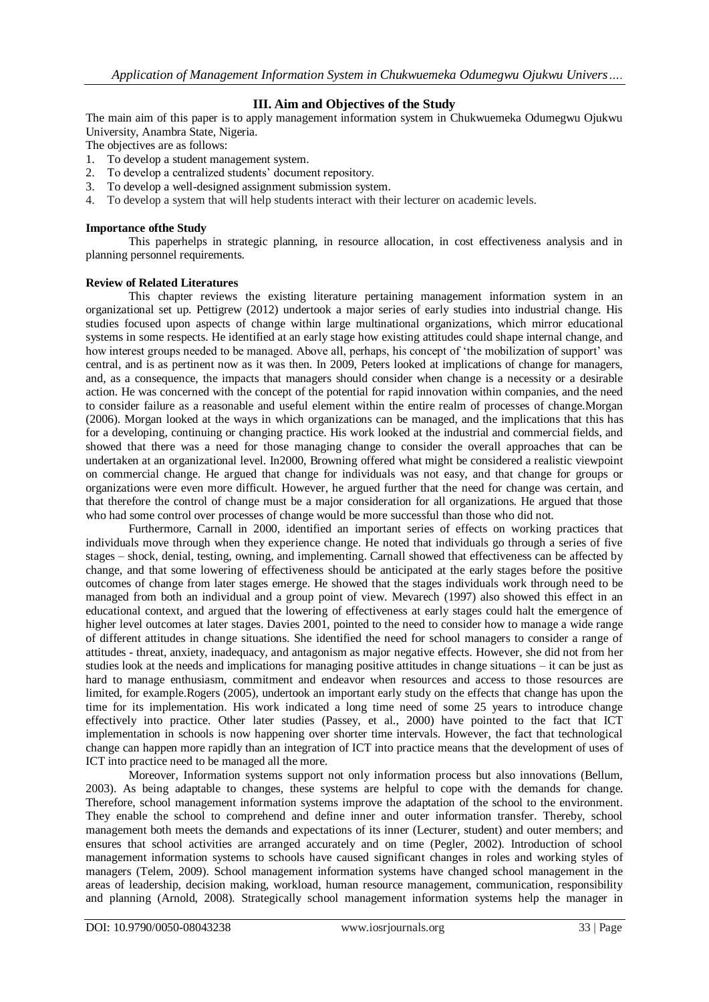## **III. Aim and Objectives of the Study**

The main aim of this paper is to apply management information system in Chukwuemeka Odumegwu Ojukwu University, Anambra State, Nigeria.

The objectives are as follows:

- 1. To develop a student management system.<br>2. To develop a centralized students' docume
- To develop a centralized students' document repository.
- 3. To develop a well-designed assignment submission system.
- 4. To develop a system that will help students interact with their lecturer on academic levels.

#### **Importance ofthe Study**

This paperhelps in strategic planning, in resource allocation, in cost effectiveness analysis and in planning personnel requirements.

### **Review of Related Literatures**

This chapter reviews the existing literature pertaining management information system in an organizational set up. Pettigrew (2012) undertook a major series of early studies into industrial change. His studies focused upon aspects of change within large multinational organizations, which mirror educational systems in some respects. He identified at an early stage how existing attitudes could shape internal change, and how interest groups needed to be managed. Above all, perhaps, his concept of 'the mobilization of support' was central, and is as pertinent now as it was then. In 2009, Peters looked at implications of change for managers, and, as a consequence, the impacts that managers should consider when change is a necessity or a desirable action. He was concerned with the concept of the potential for rapid innovation within companies, and the need to consider failure as a reasonable and useful element within the entire realm of processes of change.Morgan (2006). Morgan looked at the ways in which organizations can be managed, and the implications that this has for a developing, continuing or changing practice. His work looked at the industrial and commercial fields, and showed that there was a need for those managing change to consider the overall approaches that can be undertaken at an organizational level. In2000, Browning offered what might be considered a realistic viewpoint on commercial change. He argued that change for individuals was not easy, and that change for groups or organizations were even more difficult. However, he argued further that the need for change was certain, and that therefore the control of change must be a major consideration for all organizations. He argued that those who had some control over processes of change would be more successful than those who did not.

Furthermore, Carnall in 2000, identified an important series of effects on working practices that individuals move through when they experience change. He noted that individuals go through a series of five stages – shock, denial, testing, owning, and implementing. Carnall showed that effectiveness can be affected by change, and that some lowering of effectiveness should be anticipated at the early stages before the positive outcomes of change from later stages emerge. He showed that the stages individuals work through need to be managed from both an individual and a group point of view. Mevarech (1997) also showed this effect in an educational context, and argued that the lowering of effectiveness at early stages could halt the emergence of higher level outcomes at later stages. Davies 2001, pointed to the need to consider how to manage a wide range of different attitudes in change situations. She identified the need for school managers to consider a range of attitudes - threat, anxiety, inadequacy, and antagonism as major negative effects. However, she did not from her studies look at the needs and implications for managing positive attitudes in change situations – it can be just as hard to manage enthusiasm, commitment and endeavor when resources and access to those resources are limited, for example.Rogers (2005), undertook an important early study on the effects that change has upon the time for its implementation. His work indicated a long time need of some 25 years to introduce change effectively into practice. Other later studies (Passey, et al., 2000) have pointed to the fact that ICT implementation in schools is now happening over shorter time intervals. However, the fact that technological change can happen more rapidly than an integration of ICT into practice means that the development of uses of ICT into practice need to be managed all the more.

Moreover, Information systems support not only information process but also innovations (Bellum, 2003). As being adaptable to changes, these systems are helpful to cope with the demands for change. Therefore, school management information systems improve the adaptation of the school to the environment. They enable the school to comprehend and define inner and outer information transfer. Thereby, school management both meets the demands and expectations of its inner (Lecturer, student) and outer members; and ensures that school activities are arranged accurately and on time (Pegler, 2002). Introduction of school management information systems to schools have caused significant changes in roles and working styles of managers (Telem, 2009). School management information systems have changed school management in the areas of leadership, decision making, workload, human resource management, communication, responsibility and planning (Arnold, 2008). Strategically school management information systems help the manager in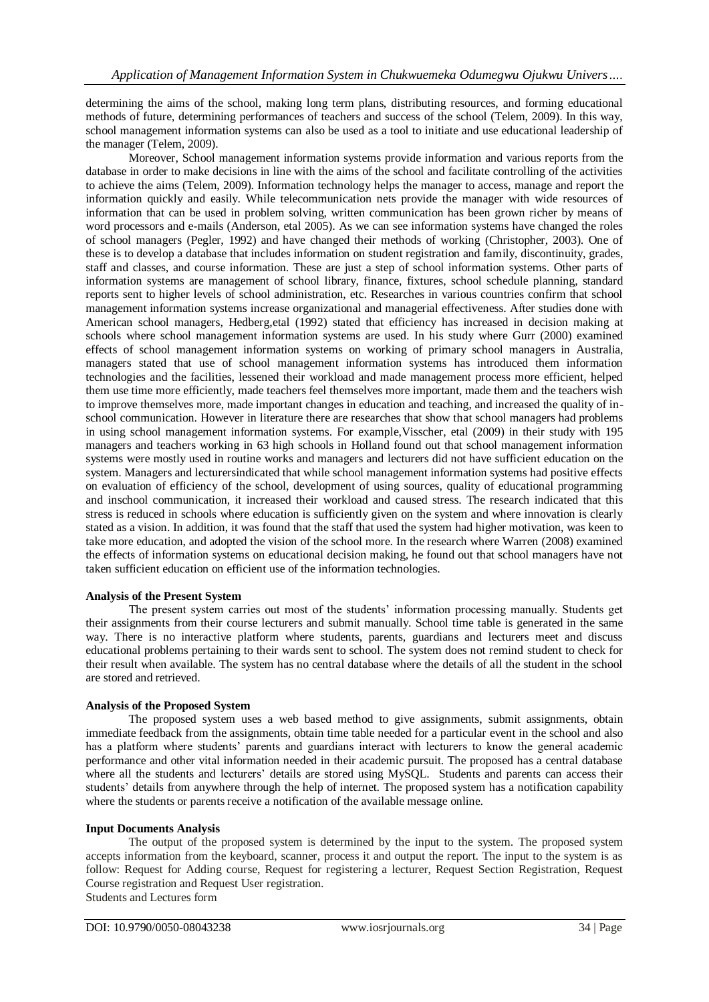determining the aims of the school, making long term plans, distributing resources, and forming educational methods of future, determining performances of teachers and success of the school (Telem, 2009). In this way, school management information systems can also be used as a tool to initiate and use educational leadership of the manager (Telem, 2009).

Moreover, School management information systems provide information and various reports from the database in order to make decisions in line with the aims of the school and facilitate controlling of the activities to achieve the aims (Telem, 2009). Information technology helps the manager to access, manage and report the information quickly and easily. While telecommunication nets provide the manager with wide resources of information that can be used in problem solving, written communication has been grown richer by means of word processors and e-mails (Anderson, etal 2005). As we can see information systems have changed the roles of school managers (Pegler, 1992) and have changed their methods of working (Christopher, 2003). One of these is to develop a database that includes information on student registration and family, discontinuity, grades, staff and classes, and course information. These are just a step of school information systems. Other parts of information systems are management of school library, finance, fixtures, school schedule planning, standard reports sent to higher levels of school administration, etc. Researches in various countries confirm that school management information systems increase organizational and managerial effectiveness. After studies done with American school managers, Hedberg,etal (1992) stated that efficiency has increased in decision making at schools where school management information systems are used. In his study where Gurr (2000) examined effects of school management information systems on working of primary school managers in Australia, managers stated that use of school management information systems has introduced them information technologies and the facilities, lessened their workload and made management process more efficient, helped them use time more efficiently, made teachers feel themselves more important, made them and the teachers wish to improve themselves more, made important changes in education and teaching, and increased the quality of inschool communication. However in literature there are researches that show that school managers had problems in using school management information systems. For example,Visscher, etal (2009) in their study with 195 managers and teachers working in 63 high schools in Holland found out that school management information systems were mostly used in routine works and managers and lecturers did not have sufficient education on the system. Managers and lecturersindicated that while school management information systems had positive effects on evaluation of efficiency of the school, development of using sources, quality of educational programming and inschool communication, it increased their workload and caused stress. The research indicated that this stress is reduced in schools where education is sufficiently given on the system and where innovation is clearly stated as a vision. In addition, it was found that the staff that used the system had higher motivation, was keen to take more education, and adopted the vision of the school more. In the research where Warren (2008) examined the effects of information systems on educational decision making, he found out that school managers have not taken sufficient education on efficient use of the information technologies.

#### **Analysis of the Present System**

The present system carries out most of the students' information processing manually. Students get their assignments from their course lecturers and submit manually. School time table is generated in the same way. There is no interactive platform where students, parents, guardians and lecturers meet and discuss educational problems pertaining to their wards sent to school. The system does not remind student to check for their result when available. The system has no central database where the details of all the student in the school are stored and retrieved.

#### **Analysis of the Proposed System**

The proposed system uses a web based method to give assignments, submit assignments, obtain immediate feedback from the assignments, obtain time table needed for a particular event in the school and also has a platform where students' parents and guardians interact with lecturers to know the general academic performance and other vital information needed in their academic pursuit. The proposed has a central database where all the students and lecturers' details are stored using MySQL. Students and parents can access their students' details from anywhere through the help of internet. The proposed system has a notification capability where the students or parents receive a notification of the available message online.

#### **Input Documents Analysis**

The output of the proposed system is determined by the input to the system. The proposed system accepts information from the keyboard, scanner, process it and output the report. The input to the system is as follow: Request for Adding course, Request for registering a lecturer, Request Section Registration, Request Course registration and Request User registration. Students and Lectures form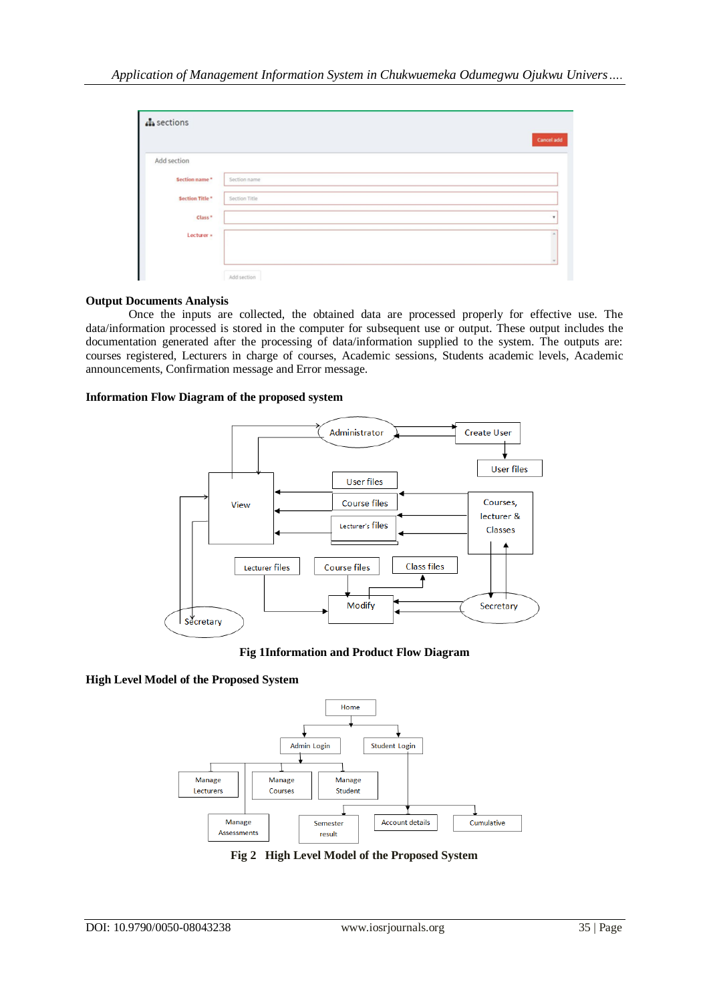| $\mathbf{A}$ sections |               | <b>Cancel add</b> |
|-----------------------|---------------|-------------------|
| Add section           |               |                   |
| Section name*         | Section name  |                   |
| Section Title*        | Section Title |                   |
| Class <sup>*</sup>    |               | $\sim$            |
| Lecturer »            |               |                   |
|                       |               |                   |
|                       | Add section   |                   |

#### **Output Documents Analysis**

Once the inputs are collected, the obtained data are processed properly for effective use. The data/information processed is stored in the computer for subsequent use or output. These output includes the documentation generated after the processing of data/information supplied to the system. The outputs are: courses registered, Lecturers in charge of courses, Academic sessions, Students academic levels, Academic announcements, Confirmation message and Error message.

#### **Information Flow Diagram of the proposed system**



**Fig 1Information and Product Flow Diagram**

## **High Level Model of the Proposed System**



**Fig 2 High Level Model of the Proposed System**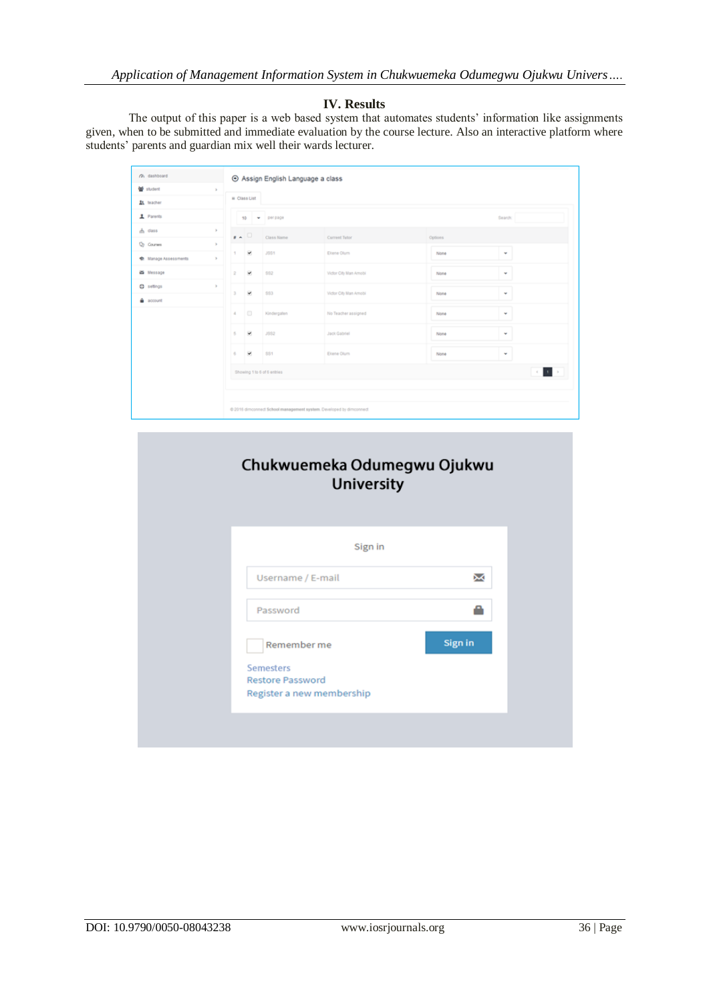*Application of Management Information System in Chukwuemeka Odumegwu Ojukwu Univers….*

## **IV. Results**

The output of this paper is a web based system that automates students' information like assignments given, when to be submitted and immediate evaluation by the course lecture. Also an interactive platform where students' parents and guardian mix well their wards lecturer.

| (% dashboard          |                                     | ⊙ Assign English Language a class |                                                                     |         |                           |  |  |
|-----------------------|-------------------------------------|-----------------------------------|---------------------------------------------------------------------|---------|---------------------------|--|--|
| 발 student             | $\mathbf{y}$                        |                                   |                                                                     |         |                           |  |  |
| 上 teacher             |                                     | = Class List                      |                                                                     |         |                           |  |  |
| 1 Parents             |                                     | 10 - perpage                      |                                                                     |         | Search:                   |  |  |
| $h$ dass              | $\mathbb{R}$<br>$\mathbf{r}$ $\sim$ | Class Name                        | Current Tutor                                                       | Options |                           |  |  |
| <b>Q</b> Courses      | $\mathbf{p}$                        |                                   |                                                                     |         |                           |  |  |
| C: Manage Assessments | ×<br>т.<br>$\geq$                   | <b>JSS1</b>                       | Ekene Olum                                                          | None    | ٠                         |  |  |
| a Message             | ×<br>$\mathbf{2}$                   | \$82                              | Victor City Man Amobi                                               | None    | ÷                         |  |  |
| $Q$ settings          | $\mathbb{R}$<br>×<br>$\mathbf{3}$   | \$83                              | Victor City Man Amobi                                               | None    | ÷                         |  |  |
| account               |                                     |                                   |                                                                     |         |                           |  |  |
|                       | $\qquad \qquad \Box$<br>$\Delta$    | Kindergaten                       | No Teacher assigned                                                 | None    | ٠                         |  |  |
|                       | ×<br>5                              | ,382                              | <b>Jack Gabriel</b>                                                 | None    | $\mathbf{v}$              |  |  |
|                       | ×<br>6                              | \$81                              | Eltene Olum                                                         | None    | ٠                         |  |  |
|                       | Showing 1 to 6 of 6 entries         |                                   |                                                                     |         | $\mathcal{A}=\mathcal{A}$ |  |  |
|                       |                                     |                                   |                                                                     |         |                           |  |  |
|                       |                                     |                                   | @ 2016 dimconnect School management system. Developed by dimconnect |         |                           |  |  |

| Sign in<br>χ<br>Username / E-mail<br>Password<br>Sign in<br>Remember me<br><b>Semesters</b><br><b>Restore Password</b><br>Register a new membership | Chukwuemeka Odumegwu Ojukwu<br><b>University</b> |  |
|-----------------------------------------------------------------------------------------------------------------------------------------------------|--------------------------------------------------|--|
|                                                                                                                                                     |                                                  |  |
|                                                                                                                                                     |                                                  |  |
|                                                                                                                                                     |                                                  |  |
|                                                                                                                                                     |                                                  |  |
|                                                                                                                                                     |                                                  |  |
|                                                                                                                                                     |                                                  |  |
|                                                                                                                                                     |                                                  |  |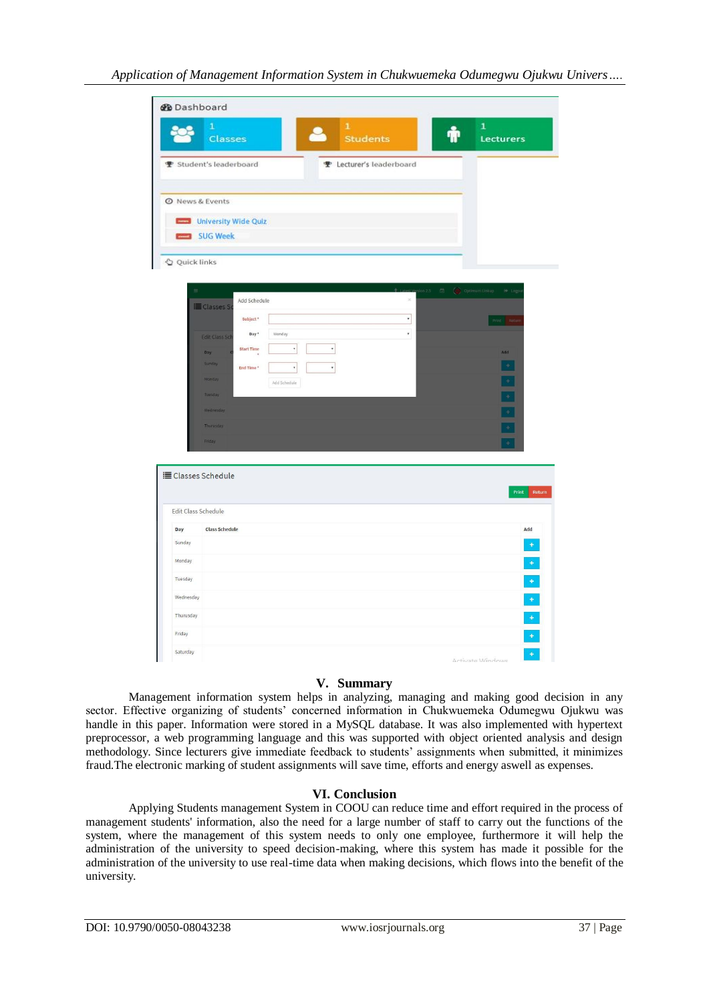| <b>@</b> Dashboard  |                                                                            |                                                             |
|---------------------|----------------------------------------------------------------------------|-------------------------------------------------------------|
|                     | $\mathbf{1}$<br>$\mathbf 1$<br><b>Students</b><br><b>Classes</b>           | $\mathbf{1}$<br>Lecturers                                   |
|                     | <b>▼</b> Student's leaderboard<br>P Lecturer's leaderboard                 |                                                             |
|                     |                                                                            |                                                             |
|                     | <b>O</b> News & Events<br>University Wide Quiz                             |                                                             |
|                     | SUG Week                                                                   |                                                             |
| Quick links         |                                                                            |                                                             |
|                     |                                                                            | $\Box$<br>Optimum Linkup<br>$\Theta$ Logs<br>$\frac{1}{25}$ |
|                     | Add Schedule<br>E Classes S                                                | $\propto$                                                   |
|                     | Subject <sup>*</sup>                                                       | $^\star$<br>Print: Retur                                    |
|                     | Day*<br>Monday<br><b>Edit Class Sch</b>                                    | $^\mathrm{v}$                                               |
|                     | $\pmb{\mathrm{v}}$<br>$^\ast$<br><b>Start Time</b><br>Day<br><b>Sunday</b> | Add                                                         |
|                     | $\overline{\phantom{a}}$<br>End Time <sup>*</sup><br>$^\ast$<br>Monday     | $\pm$<br>$\overline{\phantom{a}}$                           |
|                     | Add Schedule<br>Tuesday                                                    | Ξ                                                           |
|                     | Wednesday                                                                  | Ξ                                                           |
|                     | Thurusday                                                                  | Ξ                                                           |
|                     | Friday                                                                     |                                                             |
|                     |                                                                            |                                                             |
|                     | <b>E Classes Schedule</b>                                                  |                                                             |
|                     |                                                                            | Return<br>Print                                             |
| Edit Class Schedule |                                                                            |                                                             |
| Day                 | <b>Class Schedule</b>                                                      | Add                                                         |
| Sunday              |                                                                            | $\ddot{}$                                                   |
| Monday              |                                                                            | Ó                                                           |
| Tuesday             |                                                                            | $\ddot{\phantom{1}}$                                        |
| Wednesday           |                                                                            | $\begin{array}{c} \bullet \end{array}$                      |
| Thurusday           |                                                                            |                                                             |
| Friday              |                                                                            | $\begin{array}{c} + \\ + \end{array}$                       |
|                     |                                                                            |                                                             |

#### **V. Summary**

Management information system helps in analyzing, managing and making good decision in any sector. Effective organizing of students' concerned information in Chukwuemeka Odumegwu Ojukwu was handle in this paper. Information were stored in a MySQL database. It was also implemented with hypertext preprocessor, a web programming language and this was supported with object oriented analysis and design methodology. Since lecturers give immediate feedback to students' assignments when submitted, it minimizes fraud.The electronic marking of student assignments will save time, efforts and energy aswell as expenses.

## **VI. Conclusion**

Applying Students management System in COOU can reduce time and effort required in the process of management students' information, also the need for a large number of staff to carry out the functions of the system, where the management of this system needs to only one employee, furthermore it will help the administration of the university to speed decision-making, where this system has made it possible for the administration of the university to use real-time data when making decisions, which flows into the benefit of the university.